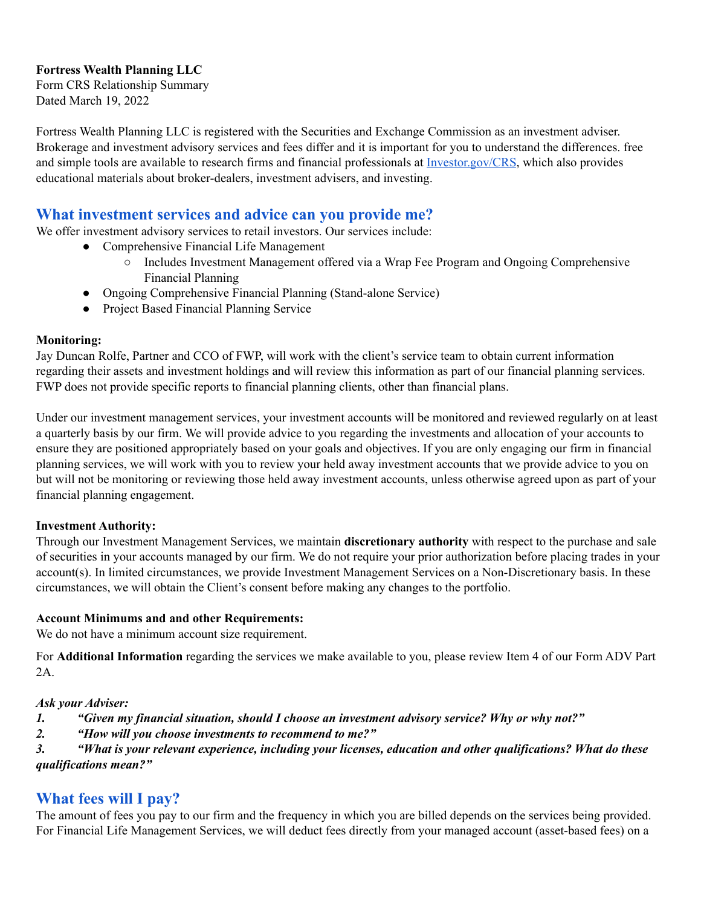## **Fortress Wealth Planning LLC**

Form CRS Relationship Summary Dated March 19, 2022

Fortress Wealth Planning LLC is registered with the Securities and Exchange Commission as an investment adviser. Brokerage and investment advisory services and fees differ and it is important for you to understand the differences. free and simple tools are available to research firms and financial professionals at [Investor.gov/CRS](https://www.investor.gov/CRS), which also provides educational materials about broker-dealers, investment advisers, and investing.

## **What investment services and advice can you provide me?**

We offer investment advisory services to retail investors. Our services include:

- Comprehensive Financial Life Management
	- Includes Investment Management offered via a Wrap Fee Program and Ongoing Comprehensive Financial Planning
- Ongoing Comprehensive Financial Planning (Stand-alone Service)
- Project Based Financial Planning Service

### **Monitoring:**

Jay Duncan Rolfe, Partner and CCO of FWP, will work with the client's service team to obtain current information regarding their assets and investment holdings and will review this information as part of our financial planning services. FWP does not provide specific reports to financial planning clients, other than financial plans.

Under our investment management services, your investment accounts will be monitored and reviewed regularly on at least a quarterly basis by our firm. We will provide advice to you regarding the investments and allocation of your accounts to ensure they are positioned appropriately based on your goals and objectives. If you are only engaging our firm in financial planning services, we will work with you to review your held away investment accounts that we provide advice to you on but will not be monitoring or reviewing those held away investment accounts, unless otherwise agreed upon as part of your financial planning engagement.

## **Investment Authority:**

Through our Investment Management Services, we maintain **discretionary authority** with respect to the purchase and sale of securities in your accounts managed by our firm. We do not require your prior authorization before placing trades in your account(s). In limited circumstances, we provide Investment Management Services on a Non-Discretionary basis. In these circumstances, we will obtain the Client's consent before making any changes to the portfolio.

## **Account Minimums and and other Requirements:**

We do not have a minimum account size requirement.

For **Additional Information** regarding the services we make available to you, please review Item 4 of our Form ADV Part 2A.

#### *Ask your Adviser:*

- *1. "Given my financial situation, should I choose an investment advisory service? Why or why not?"*
- *2. "How will you choose investments to recommend to me?"*

*3. "What is your relevant experience, including your licenses, education and other qualifications? What do these qualifications mean?"*

# **What fees will I pay?**

The amount of fees you pay to our firm and the frequency in which you are billed depends on the services being provided. For Financial Life Management Services, we will deduct fees directly from your managed account (asset-based fees) on a